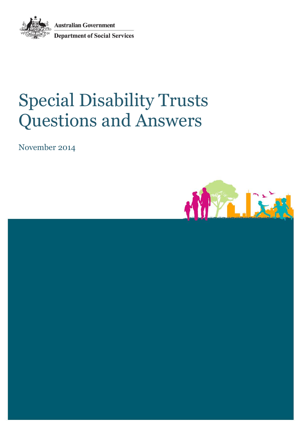**Australian Government Department of Social Services** 



# Special Disability Trusts Questions and Answers

November 2014

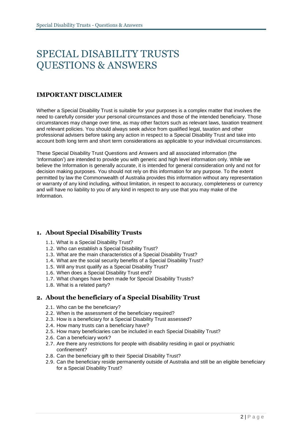# SPECIAL DISABILITY TRUSTS QUESTIONS & ANSWERS

#### **IMPORTANT DISCLAIMER**

Whether a Special Disability Trust is suitable for your purposes is a complex matter that involves the need to carefully consider your personal circumstances and those of the intended beneficiary. Those circumstances may change over time, as may other factors such as relevant laws, taxation treatment and relevant policies. You should always seek advice from qualified legal, taxation and other professional advisers before taking any action in respect to a Special Disability Trust and take into account both long term and short term considerations as applicable to your individual circumstances.

These Special Disability Trust Questions and Answers and all associated information (the 'Information') are intended to provide you with generic and high level information only. While we believe the Information is generally accurate, it is intended for general consideration only and not for decision making purposes. You should not rely on this information for any purpose. To the extent permitted by law the Commonwealth of Australia provides this information without any representation or warranty of any kind including, without limitation, in respect to accuracy, completeness or currency and will have no liability to you of any kind in respect to any use that you may make of the Information.

#### **1. About Special Disability Trusts**

- 1.1. What is a Special Disability Trust?
- 1.2. Who can establish a Special Disability Trust?
- 1.3. What are the main characteristics of a Special Disability Trust?
- 1.4. What are the social security benefits of a Special Disability Trust?
- 1.5. Will any trust qualify as a Special Disability Trust?
- 1.6. When does a Special Disability Trust end?
- 1.7. What changes have been made for Special Disability Trusts?
- 1.8. What is a related party?

#### **2. About the beneficiary of a Special Disability Trust**

- 2.1. Who can be the beneficiary?
- 2.2. When is the assessment of the beneficiary required?
- 2.3. How is a beneficiary for a Special Disability Trust assessed?
- 2.4. How many trusts can a beneficiary have?
- 2.5. How many beneficiaries can be included in each Special Disability Trust?
- 2.6. Can a beneficiary work?
- 2.7. Are there any restrictions for people with disability residing in gaol or psychiatric confinement?
- 2.8. Can the beneficiary gift to their Special Disability Trust?
- 2.9. Can the beneficiary reside permanently outside of Australia and still be an eligible beneficiary for a Special Disability Trust?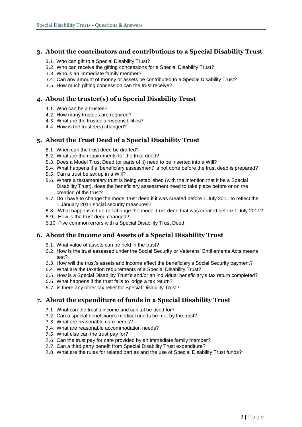#### **3. About the contributors and contributions to a Special Disability Trust**

- 3.1. Who can gift to a Special Disability Trust?
- 3.2. Who can receive the gifting concessions for a Special Disability Trust?
- 3.3. Who is an immediate family member?
- 3.4. Can any amount of money or assets be contributed to a Special Disability Trust?
- 3.5. How much gifting concession can the trust receive?

#### **4. About the trustee(s) of a Special Disability Trust**

- 4.1. Who can be a trustee?
- 4.2. How many trustees are required?
- 4.3. What are the trustee's responsibilities?
- 4.4. How is the trustee(s) changed?

#### **5. About the Trust Deed of a Special Disability Trust**

- 5.1. When can the trust deed be drafted?
- 5.2. What are the requirements for the trust deed?
- 5.3. Does a Model Trust Deed (or parts of it) need to be inserted into a Will?
- 5.4. What happens if a 'beneficiary assessment' is not done before the trust deed is prepared?
- 5.5. Can a trust be set up in a Will?
- 5.6. Where a testamentary trust is being established (with the intention that it be a Special Disability Trust), does the beneficiary assessment need to take place before or on the creation of the trust?
- 5.7. Do I have to change the model trust deed if it was created before 1 July 2011 to reflect the 1 January 2011 social security measures?
- 5.8. What happens if I do not change the model trust deed that was created before 1 July 2011?
- 5.9. How is the trust deed changed?
- 5.10. Five common errors with a Special Disability Trust Deed.

#### **6. About the Income and Assets of a Special Disability Trust**

- 6.1. What value of assets can be held in the trust?
- 6.2. How is the trust assessed under the Social Security or Veterans' Entitlements Acts means test?
- 6.3. How will the trust's assets and income affect the beneficiary's Social Security payment?
- 6.4. What are the taxation requirements of a Special Disability Trust?
- 6.5. How is a Special Disability Trust's and/or an individual beneficiary's tax return completed?
- 6.6. What happens if the trust fails to lodge a tax return?
- 6.7. Is there any other tax relief for Special Disability Trust?

#### **7. About the expenditure of funds in a Special Disability Trust**

- 7.1. What can the trust's income and capital be used for?
- 7.2. Can a special beneficiary's medical needs be met by the trust?
- 7.3. What are reasonable care needs?
- 7.4. What are reasonable accommodation needs?
- 7.5. What else can the trust pay for?
- 7.6. Can the trust pay for care provided by an immediate family member?
- 7.7. Can a third party benefit from Special Disability Trust expenditure?
- 7.8. What are the rules for related parties and the use of Special Disability Trust funds?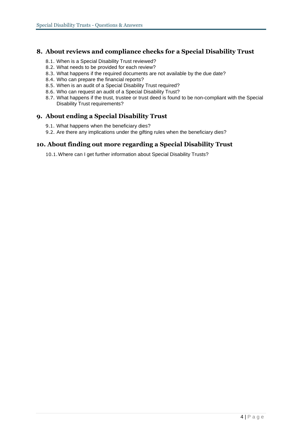#### **8. About reviews and compliance checks for a Special Disability Trust**

- 8.1. When is a Special Disability Trust reviewed?
- 8.2. What needs to be provided for each review?
- 8.3. What happens if the required documents are not available by the due date?
- 8.4. Who can prepare the financial reports?
- 8.5. When is an audit of a Special Disability Trust required?
- 8.6. Who can request an audit of a Special Disability Trust?
- 8.7. What happens if the trust, trustee or trust deed is found to be non-compliant with the Special Disability Trust requirements?

#### **9. About ending a Special Disability Trust**

- 9.1. What happens when the beneficiary dies?
- 9.2. Are there any implications under the gifting rules when the beneficiary dies?

#### **10. About finding out more regarding a Special Disability Trust**

10.1.Where can I get further information about Special Disability Trusts?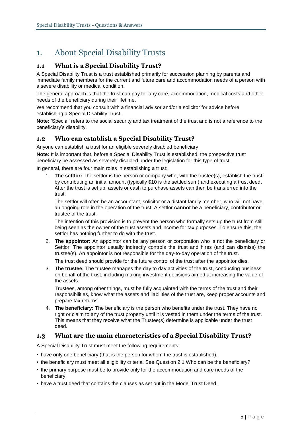# 1. About Special Disability Trusts

#### **1.1 What is a Special Disability Trust?**

A Special Disability Trust is a trust established primarily for succession planning by parents and immediate family members for the current and future care and accommodation needs of a person with a severe disability or medical condition.

The general approach is that the trust can pay for any care, accommodation, medical costs and other needs of the beneficiary during their lifetime.

We recommend that you consult with a financial advisor and/or a solicitor for advice before establishing a Special Disability Trust.

**Note:** 'Special' refers to the social security and tax treatment of the trust and is not a reference to the beneficiary's disability.

#### **1.2 Who can establish a Special Disability Trust?**

Anyone can establish a trust for an eligible severely disabled beneficiary.

**Note:** It is important that, before a Special Disability Trust is established, the prospective trust beneficiary be assessed as severely disabled under the legislation for this type of trust.

In general, there are four main roles in establishing a trust:

1. **The settlor:** The settlor is the person or company who, with the trustee(s), establish the trust by contributing an initial amount (typically \$10 is the settled sum) and executing a trust deed. After the trust is set up, assets or cash to purchase assets can then be transferred into the trust.

The settlor will often be an accountant, solicitor or a distant family member, who will not have an ongoing role in the operation of the trust. A settlor **cannot** be a beneficiary, contributor or trustee of the trust.

The intention of this provision is to prevent the person who formally sets up the trust from still being seen as the owner of the trust assets and income for tax purposes. To ensure this, the settlor has nothing further to do with the trust.

2. **The appointor:** An appointor can be any person or corporation who is not the beneficiary or Settlor. The appointor usually indirectly controls the trust and hires (and can dismiss) the trustee(s). An appointor is not responsible for the day-to-day operation of the trust.

The trust deed should provide for the future control of the trust after the appointor dies.

3. **The trustee:** The trustee manages the day to day activities of the trust, conducting business on behalf of the trust, including making investment decisions aimed at increasing the value of the assets.

Trustees, among other things, must be fully acquainted with the terms of the trust and their responsibilities, know what the assets and liabilities of the trust are, keep proper accounts and prepare tax returns.

4. **The beneficiary:** The beneficiary is the person who benefits under the trust. They have no right or claim to any of the trust property until it is vested in them under the terms of the trust. This means that they receive what the Trustee(s) determine is applicable under the trust deed.

#### **1.3 What are the main characteristics of a Special Disability Trust?**

A Special Disability Trust must meet the following requirements:

- have only one beneficiary (that is the person for whom the trust is established),
- the beneficiary must meet all eligibility criteria. See Question 2.1 Who can be the beneficiary?
- the primary purpose must be to provide only for the accommodation and care needs of the beneficiary,
- have a trust deed that contains the clauses as set out in the [Model Trust Deed,](http://www.dss.gov.au/our-responsibilities/disability-and-carers/publications-articles/model-trust-deed-for-special-disability-trusts)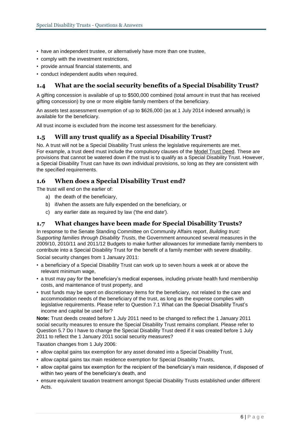- have an independent trustee, or alternatively have more than one trustee,
- comply with the investment restrictions,
- provide annual financial statements, and
- conduct independent audits when required.

#### **1.4 What are the social security benefits of a Special Disability Trust?**

A gifting concession is available of up to \$500,000 combined (total amount in trust that has received gifting concession) by one or more eligible family members of the beneficiary.

An assets test assessment exemption of up to \$626,000 (as at 1 July 2014 indexed annually) is available for the beneficiary.

All trust income is excluded from the income test assessment for the beneficiary.

#### **1.5 Will any trust qualify as a Special Disability Trust?**

No. A trust will not be a Special Disability Trust unless the legislative requirements are met. For example, a trust deed must include the compulsory clauses of the [Model Trust Deed.](http://www.dss.gov.au/our-responsibilities/disability-and-carers/publications-articles/model-trust-deed-for-special-disability-trusts) These are provisions that cannot be watered down if the trust is to qualify as a Special Disability Trust. However, a Special Disability Trust can have its own individual provisions, so long as they are consistent with the specified requirements.

#### **1.6 When does a Special Disability Trust end?**

The trust will end on the earlier of:

- a) the death of the beneficiary,
- b) if/when the assets are fully expended on the beneficiary, or
- c) any earlier date as required by law ('the end date').

#### **1.7 What changes have been made for Special Disability Trusts?**

In response to the Senate Standing Committee on Community Affairs report, *Building trust: Supporting families through Disability Trusts,* the Government announced several measures in the 2009/10, 2010/11 and 2011/12 Budgets to make further allowances for immediate family members to contribute into a Special Disability Trust for the benefit of a family member with severe disability. Social security changes from 1 January 2011:

• a beneficiary of a Special Disability Trust can work up to seven hours a week at or above the relevant minimum wage,

- a trust may pay for the beneficiary's medical expenses, including private health fund membership costs, and maintenance of trust property, and
- trust funds may be spent on discretionary items for the beneficiary, not related to the care and accommodation needs of the beneficiary of the trust, as long as the expense complies with legislative requirements. Please refer to Question 7.1 What can the Special Disability Trust's income and capital be used for?

**Note:** Trust deeds created before 1 July 2011 need to be changed to reflect the 1 January 2011 social security measures to ensure the Special Disability Trust remains compliant. Please refer to Question 5.7 Do I have to change the Special Disability Trust deed if it was created before 1 July 2011 to reflect the 1 January 2011 social security measures?

Taxation changes from 1 July 2006:

- allow capital gains tax exemption for any asset donated into a Special Disability Trust,
- allow capital gains tax main residence exemption for Special Disability Trusts,
- allow capital gains tax exemption for the recipient of the beneficiary's main residence, if disposed of within two years of the beneficiary's death, and
- ensure equivalent taxation treatment amongst Special Disability Trusts established under different Acts.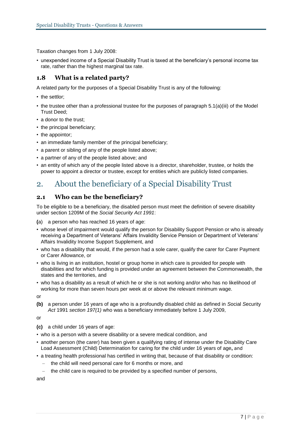Taxation changes from 1 July 2008:

• unexpended income of a Special Disability Trust is taxed at the beneficiary's personal income tax rate, rather than the highest marginal tax rate.

#### **1.8 What is a related party?**

A related party for the purposes of a Special Disability Trust is any of the following:

- the settlor;
- the trustee other than a professional trustee for the purposes of paragraph 5.1(a)(iii) of the Model Trust Deed;
- a donor to the trust;
- the principal beneficiary;
- the appointor;
- an immediate family member of the principal beneficiary;
- a parent or sibling of any of the people listed above;
- a partner of any of the people listed above; and
- an entity of which any of the people listed above is a director, shareholder, trustee, or holds the power to appoint a director or trustee, except for entities which are publicly listed companies.

# 2. About the beneficiary of a Special Disability Trust

#### **2.1 Who can be the beneficiary?**

To be eligible to be a beneficiary, the disabled person must meet the definition of severe disability under section 1209M of the *Social Security Act 1991*:

**(**a) a person who has reached 16 years of age:

- whose level of impairment would qualify the person for Disability Support Pension or who is already receiving a Department of Veterans' Affairs Invalidity Service Pension or Department of Veterans' Affairs Invalidity Income Support Supplement, and
- who has a disability that would, if the person had a sole carer, qualify the carer for Carer Payment or Carer Allowance, or
- who is living in an institution, hostel or group home in which care is provided for people with disabilities and for which funding is provided under an agreement between the Commonwealth, the states and the territories, and
- who has a disability as a result of which he or she is not working and/or who has no likelihood of working for more than seven hours per week at or above the relevant minimum wage.

or

**(b)** a person under 16 years of age who is a profoundly disabled child as defined in *S*ocial *S*ecurity *Act* 1991 *section 197(1)* who was a beneficiary immediately before 1 July 2009,

or

**(c)** a child under 16 years of age:

- who is a person with a severe disability or a severe medical condition, and
- another person (the carer) has been given a qualifying rating of intense under the Disability Care Load Assessment (Child) Determination for caring for the child under 16 years of age**,** and
- a treating health professional has certified in writing that, because of that disability or condition:
	- the child will need personal care for 6 months or more, and
	- the child care is required to be provided by a specified number of persons,

and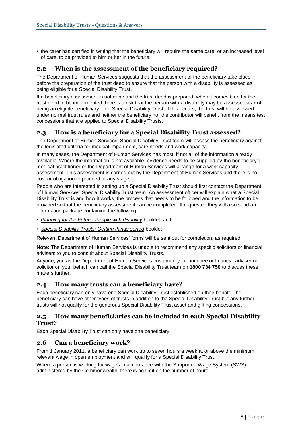• the carer has certified in writing that the beneficiary will require the same care, or an increased level of care, to be provided to him or her in the future.

#### **2.2 When is the assessment of the beneficiary required?**

The Department of Human Services suggests that the assessment of the beneficiary take place before the preparation of the trust deed to ensure that the person with a disability is assessed as being eligible for a Special Disability Trust.

If a beneficiary assessment is not done and the trust deed is prepared, when it comes time for the trust deed to be implemented there is a risk that the person with a disability may be assessed as **not**  being an eligible beneficiary for a Special Disability Trust. If this occurs, the trust will be assessed under normal trust rules and neither the beneficiary nor the contributor will benefit from the means test concessions that are applied to Special Disability Trusts.

#### **2.3 How is a beneficiary for a Special Disability Trust assessed?**

The Department of Human Services' Special Disability Trust team will assess the beneficiary against the legislated criteria for medical impairment, care needs and work capacity.

In many cases, the Department of Human Services has most, if not all of the information already available. Where the information is not available, evidence needs to be supplied by the beneficiary's medical practitioner or the Department of Human Services will arrange for a work capacity assessment. This assessment is carried out by the Department of Human Services and there is no cost or obligation to proceed at any stage.

People who are interested in setting up a Special Disability Trust should first contact the Department of Human Services' Special Disability Trust team. An assessment officer will explain what a Special Disability Trust is and how it works, the process that needs to be followed and the information to be provided so that the beneficiary assessment can be completed. If requested they will also send an information package containing the following:

- *[Planning for the Future: People with disability](http://www.dss.gov.au/our-responsibilities/disability-and-carers/publications-articles/general/planning-for-the-future-people-with-disability-booklet)* booklet, and
- *[Special Disability Trusts: Getting things sorted](http://www.dss.gov.au/our-responsibilities/disability-and-carers/publications-articles/special-disability-trusts-getting-things-sorted)* booklet.

Relevant Department of Human Services' forms will be sent out for completion, as required.

**Note:** The Department of Human Services is unable to recommend any specific solicitors or financial advisers to you to consult about Special Disability Trusts.

Anyone, you as the Department of Human Services customer, your nominee or financial adviser or solicitor on your behalf, can call the Special Disability Trust team on **1800 734 750** to discuss these matters further.

#### **2.4 How many trusts can a beneficiary have?**

Each beneficiary can only have one Special Disability Trust established on their behalf. The beneficiary can have other types of trusts in addition to the Special Disability Trust but any further trusts will not qualify for the generous Special Disability Trust asset and gifting concessions.

#### **2.5 How many beneficiaries can be included in each Special Disability Trust?**

Each Special Disability Trust can only have one beneficiary.

#### **2.6 Can a beneficiary work?**

From 1 January 2011, a beneficiary can work up to seven hours a week at or above the minimum relevant wage in open employment and still qualify for a Special Disability Trust.

Where a person is working for wages in accordance with the Supported Wage System (SWS) administered by the Commonwealth, there is no limit on the number of hours.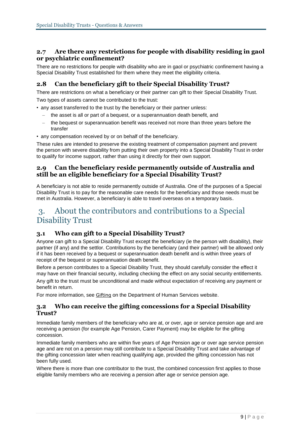#### **2.7 Are there any restrictions for people with disability residing in gaol or psychiatric confinement?**

There are no restrictions for people with disability who are in gaol or psychiatric confinement having a Special Disability Trust established for them where they meet the eligibility criteria.

#### **2.8 Can the beneficiary gift to their Special Disability Trust?**

There are restrictions on what a beneficiary or their partner can gift to their Special Disability Trust. Two types of assets cannot be contributed to the trust:

• any asset transferred to the trust by the beneficiary or their partner unless:

- the asset is all or part of a bequest, or a superannuation death benefit, and
- the bequest or superannuation benefit was received not more than three years before the transfer
- any compensation received by or on behalf of the beneficiary.

These rules are intended to preserve the existing treatment of compensation payment and prevent the person with severe disability from putting their own property into a Special Disability Trust in order to qualify for income support, rather than using it directly for their own support.

#### **2.9 Can the beneficiary reside permanently outside of Australia and still be an eligible beneficiary for a Special Disability Trust?**

A beneficiary is not able to reside permanently outside of Australia. One of the purposes of a Special Disability Trust is to pay for the reasonable care needs for the beneficiary and those needs must be met in Australia. However, a beneficiary is able to travel overseas on a temporary basis.

## 3. About the contributors and contributions to a Special Disability Trust

#### **3.1 Who can gift to a Special Disability Trust?**

Anyone can gift to a Special Disability Trust except the beneficiary (ie the person with disability), their partner (if any) and the settlor. Contributions by the beneficiary (and their partner) will be allowed only if it has been received by a bequest or superannuation death benefit and is within three years of receipt of the bequest or superannuation death benefit.

Before a person contributes to a Special Disability Trust, they should carefully consider the effect it may have on their financial security, including checking the effect on any social security entitlements.

Any gift to the trust must be unconditional and made without expectation of receiving any payment or benefit in return.

For more information, see [Gifting](http://www.humanservices.gov.au/customer/enablers/assets/gifting) on the Department of Human Services website.

#### **3.2 Who can receive the gifting concessions for a Special Disability Trust?**

Immediate family members of the beneficiary who are at, or over, age or service pension age and are receiving a pension (for example Age Pension, Carer Payment) may be eligible for the gifting concession.

Immediate family members who are within five years of Age Pension age or over age service pension age and are not on a pension may still contribute to a Special Disability Trust and take advantage of the gifting concession later when reaching qualifying age, provided the gifting concession has not been fully used.

Where there is more than one contributor to the trust, the combined concession first applies to those eligible family members who are receiving a pension after age or service pension age.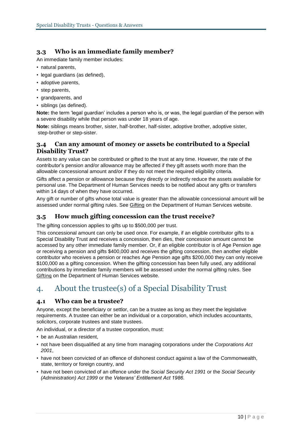#### **3.3 Who is an immediate family member?**

An immediate family member includes:

- natural parents,
- legal guardians (as defined),
- adoptive parents,
- step parents,
- grandparents, and
- siblings (as defined).

**Note:** the term 'legal guardian' includes a person who is, or was, the legal guardian of the person with a severe disability while that person was under 18 years of age.

**Note:** siblings means brother, sister, half-brother, half-sister, adoptive brother, adoptive sister, step-brother or step-sister.

#### **3.4 Can any amount of money or assets be contributed to a Special Disability Trust?**

Assets to any value can be contributed or gifted to the trust at any time. However, the rate of the contributor's pension and/or allowance may be affected if they gift assets worth more than the allowable concessional amount and/or if they do not meet the required eligibility criteria.

Gifts affect a pension or allowance because they directly or indirectly reduce the assets available for personal use. The Department of Human Services needs to be notified about any gifts or transfers within 14 days of when they have occurred.

Any gift or number of gifts whose total value is greater than the allowable concessional amount will be assessed under normal gifting rules. See [Gifting](http://www.humanservices.gov.au/customer/enablers/assets/gifting) on the Department of Human Services website.

#### **3.5 How much gifting concession can the trust receive?**

The gifting concession applies to gifts up to \$500,000 per trust.

This concessional amount can only be used once. For example, if an eligible contributor gifts to a Special Disability Trust and receives a concession, then dies, their concession amount cannot be accessed by any other immediate family member. Or, if an eligible contributor is of Age Pension age or receiving a pension and gifts \$400,000 and receives the gifting concession, then another eligible contributor who receives a pension or reaches Age Pension age gifts \$200,000 they can only receive \$100,000 as a gifting concession. When the gifting concession has been fully used, any additional contributions by immediate family members will be assessed under the normal gifting rules. See [Gifting](http://www.humanservices.gov.au/customer/enablers/assets/gifting) on the Department of Human Services website.

# 4. About the trustee(s) of a Special Disability Trust

#### **4.1 Who can be a trustee?**

Anyone, except the beneficiary or settlor, can be a trustee as long as they meet the legislative requirements. A trustee can either be an individual or a corporation, which includes accountants, solicitors, corporate trustees and state trustees.

An individual, or a director of a trustee corporation, must:

- be an Australian resident,
- not have been disqualified at any time from managing corporations under the *Corporations Act 2001*,
- have not been convicted of an offence of dishonest conduct against a law of the Commonwealth, state, territory or foreign country, and
- have not been convicted of an offence under the *Social Security Act 1991* or the *Social Security (Administration) Act 1999* or the *Veterans' Entitlement Act 1986*.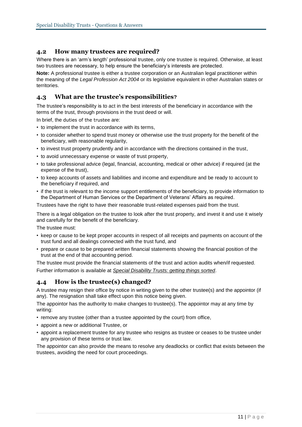#### **4.2 How many trustees are required?**

Where there is an 'arm's length' professional trustee, only one trustee is required. Otherwise, at least two trustees are necessary, to help ensure the beneficiary's interests are protected.

**Note:** A professional trustee is either a trustee corporation or an Australian legal practitioner within the meaning of the *Legal Profession Act 2004* or its legislative equivalent in other Australian states or territories.

#### **4.3 What are the trustee's responsibilities?**

The trustee's responsibility is to act in the best interests of the beneficiary in accordance with the terms of the trust, through provisions in the trust deed or will.

In brief, the duties of the trustee are:

- to implement the trust in accordance with its terms,
- to consider whether to spend trust money or otherwise use the trust property for the benefit of the beneficiary, with reasonable regularity,
- to invest trust property prudently and in accordance with the directions contained in the trust,
- to avoid unnecessary expense or waste of trust property,
- to take professional advice (legal, financial, accounting, medical or other advice) if required (at the expense of the trust),
- to keep accounts of assets and liabilities and income and expenditure and be ready to account to the beneficiary if required, and
- if the trust is relevant to the income support entitlements of the beneficiary, to provide information to the Department of Human Services or the Department of Veterans' Affairs as required.

Trustees have the right to have their reasonable trust-related expenses paid from the trust.

There is a legal obligation on the trustee to look after the trust property, and invest it and use it wisely and carefully for the benefit of the beneficiary.

The trustee must:

- keep or cause to be kept proper accounts in respect of all receipts and payments on account of the trust fund and all dealings connected with the trust fund, and
- prepare or cause to be prepared written financial statements showing the financial position of the trust at the end of that accounting period.

The trustee must provide the financial statements of the trust and action audits when/if requested. Further information is available at *[Special Disability Trusts: getting things sorted](http://www.dss.gov.au/our-responsibilities/disability-and-carers/publications-articles/special-disability-trusts-getting-things-sorted)*.

#### **4.4 How is the trustee(s) changed?**

A trustee may resign their office by notice in writing given to the other trustee(s) and the appointor (if any). The resignation shall take effect upon this notice being given.

The appointor has the authority to make changes to trustee(s). The appointor may at any time by writing:

- remove any trustee (other than a trustee appointed by the court) from office,
- appoint a new or additional Trustee, or
- appoint a replacement trustee for any trustee who resigns as trustee or ceases to be trustee under any provision of these terms or trust law.

The appointor can also provide the means to resolve any deadlocks or conflict that exists between the trustees, avoiding the need for court proceedings.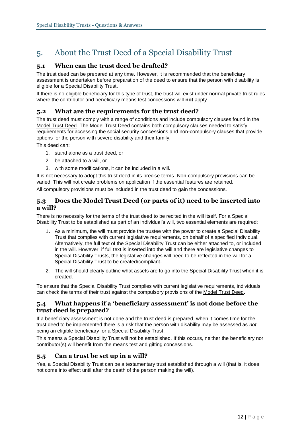# 5. About the Trust Deed of a Special Disability Trust

#### **5.1 When can the trust deed be drafted?**

The trust deed can be prepared at any time. However, it is recommended that the beneficiary assessment is undertaken before preparation of the deed to ensure that the person with disability is eligible for a Special Disability Trust.

If there is no eligible beneficiary for this type of trust, the trust will exist under normal private trust rules where the contributor and beneficiary means test concessions will **not** apply.

#### **5.2 What are the requirements for the trust deed?**

The trust deed must comply with a range of conditions and include compulsory clauses found in the [Model Trust Deed.](http://www.dss.gov.au/our-responsibilities/disability-and-carers/publications-articles/model-trust-deed-for-special-disability-trusts) The Model Trust Deed contains both compulsory clauses needed to satisfy requirements for accessing the social security concessions and non-compulsory clauses that provide options for the person with severe disability and their family.

This deed can:

- 1. stand alone as a trust deed, or
- 2. be attached to a will, or
- 3. with some modifications, it can be included in a will.

It is not necessary to adopt this trust deed in its precise terms. Non-compulsory provisions can be varied. This will not create problems on application if the essential features are retained.

All compulsory provisions must be included in the trust deed to gain the concessions.

#### **5.3 Does the Model Trust Deed (or parts of it) need to be inserted into a will?**

There is no necessity for the terms of the trust deed to be recited in the will itself. For a Special Disability Trust to be established as part of an individual's will, two essential elements are required:

- 1. As a minimum, the will must provide the trustee with the power to create a Special Disability Trust that complies with current legislative requirements, on behalf of a specified individual. Alternatively, the full text of the Special Disability Trust can be either attached to, or included in the will. However, if full text is inserted into the will and there are legislative changes to Special Disability Trusts, the legislative changes will need to be reflected in the will for a Special Disability Trust to be created/compliant.
- 2. The will should clearly outline what assets are to go into the Special Disability Trust when it is created.

To ensure that the Special Disability Trust complies with current legislative requirements, individuals can check the terms of their trust against the compulsory provisions of the [Model Trust Deed](http://www.dss.gov.au/our-responsibilities/disability-and-carers/publications-articles/model-trust-deed-for-special-disability-trusts).

#### **5.4 What happens if a 'beneficiary assessment' is not done before the trust deed is prepared?**

If a beneficiary assessment is not done and the trust deed is prepared, when it comes time for the trust deed to be implemented there is a risk that the person with disability may be assessed as *not* being an eligible beneficiary for a Special Disability Trust.

This means a Special Disability Trust will not be established. If this occurs, neither the beneficiary nor contributor(s) will benefit from the means test and gifting concessions.

#### **5.5 Can a trust be set up in a will?**

Yes, a Special Disability Trust can be a testamentary trust established through a will (that is, it does not come into effect until after the death of the person making the will).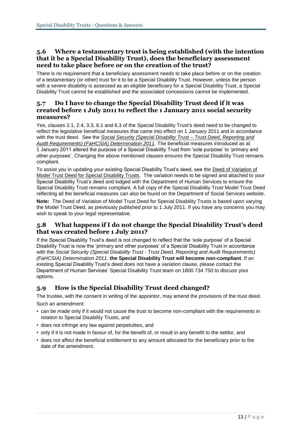#### **5.6 Where a testamentary trust is being established (with the intention that it be a Special Disability Trust), does the beneficiary assessment need to take place before or on the creation of the trust?**

There is no requirement that a beneficiary assessment needs to take place before or on the creation of a testamentary (or other) trust for it to be a Special Disability Trust. However, unless the person with a severe disability is assessed as an eligible beneficiary for a Special Disability Trust, a Special Disability Trust cannot be established and the associated concessions cannot be implemented.

#### **5.7 Do I have to change the Special Disability Trust deed if it was created before 1 July 2011 to reflect the 1 January 2011 social security measures?**

Yes, clauses 2.1, 2.4, 3.3, 6.1 and 6.3 of the Special Disability Trust's deed need to be changed to reflect the legislative beneficial measures that came into effect on 1 January 2011 and in accordance with the trust deed. See the *[Social Security \(Special Disability Trust –](http://www.comlaw.gov.au/Details/F2011L01314) Trust Deed, Reporting and [Audit Requirements\) \(FaHCSIA\) Determination 2011](http://www.comlaw.gov.au/Details/F2011L01314)*. The beneficial measures introduced as at 1 January 2011 altered the purpose of a Special Disability Trust from 'sole purpose' to 'primary and other purposes'. Changing the above mentioned clauses ensures the Special Disability Trust remains compliant.

To assist you in updating your existing Special Disability Trust's deed, see the [Deed of Variation of](http://www.dss.gov.au/our-responsibilities/disability-and-carers/publications-articles/model-trust-deed-for-special-disability-trusts)  [Model Trust Deed for Special Disability Trusts.](http://www.dss.gov.au/our-responsibilities/disability-and-carers/publications-articles/model-trust-deed-for-special-disability-trusts) The variation needs to be signed and attached to your Special Disability Trust's deed and lodged with the Department of Human Services to ensure the Special Disability Trust remains compliant. A full copy of the Special Disability Trust Model Trust Deed reflecting all the beneficial measures [can](file:///C:/Users/howakr/AppData/Local/FileSiteCache/NRPortbl/CURRENT/HOWAKR/can) also be found on the Department of Social Services website.

**Note:** The Deed of Variation of Model Trust Deed for Special Disability Trusts is based upon varying the Model Trust Deed, as previously published prior to 1 July 2011. If you have any concerns you may wish to speak to your legal representative.

#### **5.8 What happens if I do not change the Special Disability Trust's deed that was created before 1 July 2011?**

If the Special Disability Trust's deed is not changed to reflect that the 'sole purpose' of a Special Disability Trust is now the 'primary and other purposes' of a Special Disability Trust in accordance with the *Social Security (Special Disability Trust - Trust Deed, Reporting and Audit Requirements) (FaHCSIA) Determination 2011*, **the Special Disability Trust will become non-compliant**. If an existing Special Disability Trust's deed does not have a variation clause, please contact the Department of Human Services' Special Disability Trust team on 1800 734 750 to discuss your options.

#### **5.9 How is the Special Disability Trust deed changed?**

The trustee, with the consent in writing of the appointor, may amend the provisions of the trust deed. Such an amendment:

- can be made only if it would not cause the trust to become non-compliant with the requirements in relation to Special Disability Trusts, and
- does not infringe any law against perpetuities, and
- only if it is not made in favour of, for the benefit of, or result in any benefit to the settlor, and
- does not affect the beneficial entitlement to any amount allocated for the beneficiary prior to the date of the amendment.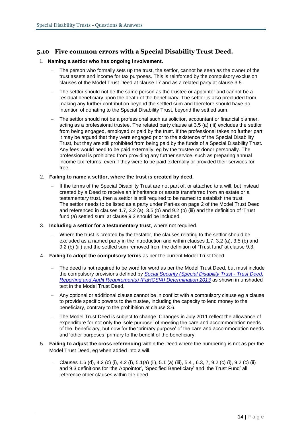#### **5.10 Five common errors with a Special Disability Trust Deed.**

#### 1. **Naming a settlor who has ongoing involvement.**

- The person who formally sets up the trust, the settlor, cannot be seen as the owner of the trust assets and income for tax purposes. This is reinforced by the compulsory exclusion clauses of the Model Trust Deed at clause l.7 and as a related party at clause 3.5.
- The settlor should not be the same person as the trustee or appointor and cannot be a residual beneficiary upon the death of the beneficiary. The settlor is also precluded from making any further contribution beyond the settled sum and therefore should have no intention of donating to the Special Disability Trust, beyond the settled sum.
- The settlor should not be a professional such as solicitor, accountant or financial planner, acting as a professional trustee. The related party clause at 3.5 (a) (iii) excludes the settlor from being engaged, employed or paid by the trust. If the professional takes no further part it may be argued that they were engaged prior to the existence of the Special Disability Trust, but they are still prohibited from being paid by the funds of a Special Disability Trust. Any fees would need to be paid externally, eg by the trustee or donor personally. The professional is prohibited from providing any further service, such as preparing annual income tax returns, even if they were to be paid externally or provided their services for free.
- 2. **Failing to name a settlor, where the trust is created by deed.** 
	- If the terms of the Special Disability Trust are not part of, or attached to a will, but instead created by a Deed to receive an inheritance or assets transferred from an estate or a testamentary trust, then a settlor is still required to be named to establish the trust. The settlor needs to be listed as a party under Parties on page 2 of the Model Trust Deed and referenced in clauses 1.7, 3.2 (a), 3.5 (b) and 9.2 (b) (iii) and the definition of 'Trust fund (a) settled sum' at clause 9.3 should be included.
- 3. **Including a settlor for a testamentary trust**, where not required.
	- Where the trust is created by the testator, the clauses relating to the settlor should be excluded as a named party in the introduction and within clauses 1.7, 3.2 (a), 3.5 (b) and 9.2 (b) (iii) and the settled sum removed from the definition of 'Trust fund' at clause 9.3.
- 4. **Failing to adopt the compulsory terms** as per the current Model Trust Deed.
	- The deed is not required to be word for word as per the Model Trust Deed, but must include the compulsory provisions defined by *[Social Security \(Special Disability Trust -](http://www.comlaw.gov.au/Details/F2013L01026) Trust Deed, [Reporting and Audit Requirements\) \(FaHCSIA\) Determination 2013](http://www.comlaw.gov.au/Details/F2013L01026)* as shown in unshaded text in the Model Trust Deed.
	- Any optional or additional clause cannot be in conflict with a compulsory clause eg a clause to provide specific powers to the trustee, including the capacity to lend money to the beneficiary, contrary to the prohibition at clause 3.6.
	- The Model Trust Deed is subject to change. Changes in July 2011 reflect the allowance of expenditure for not only the 'sole purpose' of meeting the care and accommodation needs of the beneficiary, but now for the 'primary purpose' of the care and accommodation needs and 'other purposes' primary to the benefit of the beneficiary.
- 5. **Failing to adjust the cross referencing** within the Deed where the numbering is not as per the Model Trust Deed, eg when added into a will.
	- Clauses 1.6 (d), 4.2 (c) (i), 4.2 (f), 5.1(a) (ii), 5.1 (a) (iii), 5.4 , 6.3, 7, 9.2 (c) (i), 9.2 (c) (ii) and 9.3 definitions for 'the Appointor', 'Specified Beneficiary' and 'the Trust Fund' all reference other clauses within the deed.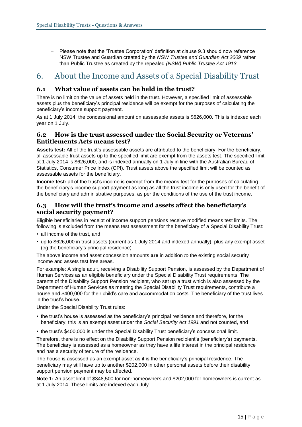– Please note that the 'Trustee Corporation' definition at clause 9.3 should now reference NSW Trustee and Guardian created by the *NSW Trustee and Guardian Act 2009* rather than Public Trustee as created by the repealed *(NSW) Public Trustee Act 1913.* 

# 6. About the Income and Assets of a Special Disability Trust

#### **6.1 What value of assets can be held in the trust?**

There is no limit on the value of assets held in the trust. However, a specified limit of assessable assets plus the beneficiary's principal residence will be exempt for the purposes of calculating the beneficiary's income support payment.

As at 1 July 2014, the concessional amount on assessable assets is \$626,000. This is indexed each year on 1 July.

#### **6.2 How is the trust assessed under the Social Security or Veterans' Entitlements Acts means test?**

**Assets test:** All of the trust's assessable assets are attributed to the beneficiary. For the beneficiary, all assessable trust assets up to the specified limit are exempt from the assets test. The specified limit at 1 July 2014 is \$626,000, and is indexed annually on 1 July in line with the Australian Bureau of Statistics, Consumer Price Index (CPI). Trust assets above the specified limit will be counted as assessable assets for the beneficiary.

**Income test:** all of the trust's income is exempt from the means test for the purposes of calculating the beneficiary's income support payment as long as all the trust income is only used for the benefit of the beneficiary and administrative purposes, as per the conditions of the use of the trust income.

#### **6.3 How will the trust's income and assets affect the beneficiary's social security payment?**

Eligible beneficiaries in receipt of income support pensions receive modified means test limits. The following is excluded from the means test assessment for the beneficiary of a Special Disability Trust:

- all income of the trust, and
- up to \$626,000 in trust assets (current as 1 July 2014 and indexed annually), plus any exempt asset (eg the beneficiary's principal residence).

The above income and asset concession amounts **are** in addition *to* the existing social security income and assets test free areas.

For example: A single adult, receiving a Disability Support Pension, is assessed by the Department of Human Services as an eligible beneficiary under the Special Disability Trust requirements. The parents of the Disability Support Pension recipient, who set up a trust which is also assessed by the Department of Human Services as meeting the Special Disability Trust requirements, contribute a house and \$400,000 for their child's care and accommodation costs. The beneficiary of the trust lives in the trust's house.

Under the Special Disability Trust rules:

- the trust's house is assessed as the beneficiary's principal residence and therefore, for the beneficiary, this is an exempt asset under the *Social Security Act 1991* and not counted, and
- the trust's \$400,000 is under the Special Disability Trust beneficiary's concessional limit.

Therefore, there is no effect on the Disability Support Pension recipient's (beneficiary's) payments. The beneficiary is assessed as a homeowner as they have a life interest in the principal residence and has a security of tenure of the residence.

The house is assessed as an exempt asset as it is the beneficiary's principal residence. The beneficiary may still have up to another \$202,000 in other personal assets before their disability support pension payment may be affected.

**Note 1:** An asset limit of \$348,500 for non-homeowners and \$202,000 for homeowners is current as at 1 July 2014. These limits are indexed each July.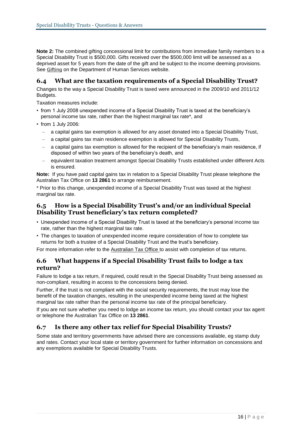**Note 2:** The combined gifting concessional limit for contributions from immediate family members to a Special Disability Trust is \$500,000. Gifts received over the \$500,000 limit will be assessed as a deprived asset for 5 years from the date of the gift and be subject to the income deeming provisions. See [Gifting](http://www.humanservices.gov.au/customer/enablers/assets/gifting) on the Department of Human Services website.

#### **6.4 What are the taxation requirements of a Special Disability Trust?**

Changes to the way a Special Disability Trust is taxed were announced in the 2009/10 and 2011/12 Budgets.

Taxation measures include:

- from 1 July 2008 unexpended income of a Special Disability Trust is taxed at the beneficiary's personal income tax rate, rather than the highest marginal tax rate\*, and
- from 1 July 2006:
	- a capital gains tax exemption is allowed for any asset donated into a Special Disability Trust,
	- a capital gains tax main residence exemption is allowed for Special Disability Trusts,
	- a capital gains tax exemption is allowed for the recipient of the beneficiary's main residence, if disposed of within two years of the beneficiary's death, and
	- equivalent taxation treatment amongst Special Disability Trusts established under different Acts is ensured.

**Note:** If you have paid capital gains tax in relation to a Special Disability Trust please telephone the Australian Tax Office on **13 2861** to arrange reimbursement.

\* Prior to this change, unexpended income of a Special Disability Trust was taxed at the highest marginal tax rate.

#### **6.5 How is a Special Disability Trust's and/or an individual Special Disability Trust beneficiary's tax return completed?**

- Unexpended income of a Special Disability Trust is taxed at the beneficiary's personal income tax rate, rather than the highest marginal tax rate.
- The changes to taxation of unexpended income require consideration of how to complete tax returns for both a trustee of a Special Disability Trust and the trust's beneficiary.

For more information refer to the [Australian Tax Office](https://www.ato.gov.au/General/Trusts/In-detail/Closely-held-trusts/Special-disability-trusts---tax-return-lodgment-instructions/) to assist with completion of tax returns.

#### **6.6 What happens if a Special Disability Trust fails to lodge a tax return?**

Failure to lodge a tax return, if required, could result in the Special Disability Trust being assessed as non-compliant, resulting in access to the concessions being denied.

Further, if the trust is not compliant with the social security requirements, the trust may lose the benefit of the taxation changes, resulting in the unexpended income being taxed at the highest marginal tax rate rather than the personal income tax rate of the principal beneficiary.

If you are not sure whether you need to lodge an income tax return, you should contact your tax agent or telephone the Australian Tax Office on **13 2861**.

#### **6.7 Is there any other tax relief for Special Disability Trusts?**

Some state and territory governments have advised there are concessions available, eg stamp duty and rates. Contact your local state or territory government for further information on concessions and any exemptions available for Special Disability Trusts.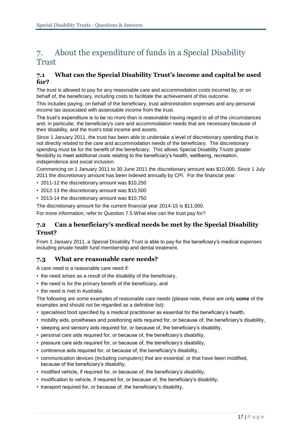## 7. About the expenditure of funds in a Special Disability **Trust**

#### **7.1 What can the Special Disability Trust's income and capital be used for?**

The trust is allowed to pay for any reasonable care and accommodation costs incurred by, or on behalf of, the beneficiary, including costs to facilitate the achievement of this outcome.

This includes paying, on behalf of the beneficiary, trust administration expenses and any personal income tax associated with assessable income from the trust.

The trust's expenditure is to be no more than is reasonable having regard to all of the circumstances and, in particular, the beneficiary's care and accommodation needs that are necessary because of their disability, and the trust's total income and assets.

Since 1 January 2011, the trust has been able to undertake a level of discretionary spending that is not directly related to the care and accommodation needs of the beneficiary. The discretionary spending must be for the benefit of the beneficiary. This allows Special Disability Trusts greater flexibility to meet additional costs relating to the beneficiary's health, wellbeing, recreation, independence and social inclusion.

Commencing on 1 January 2011 to 30 June 2011 the discretionary amount was \$10,000. Since 1 July 2011 the discretionary amount has been indexed annually by CPI. For the financial year:

- 2011-12 the discretionary amount was \$10,250
- 2012-13 the discretionary amount was \$10,500
- 2013-14 the discretionary amount was \$10,750

The discretionary amount for the current financial year 2014-15 is \$11,000.

For more information, refer to Question 7.5 What else can the trust pay for?

#### **7.2 Can a beneficiary's medical needs be met by the Special Disability Trust?**

From 1 January 2011, a Special Disability Trust is able to pay for the beneficiary's medical expenses including private health fund membership and dental treatment.

#### **7.3 What are reasonable care needs?**

A care need is a reasonable care need if:

- the need arises as a result of the disability of the beneficiary,
- the need is for the primary benefit of the beneficiary, and
- the need is met in Australia.

The following are some examples of reasonable care needs (please note, these are only **some** of the examples and should not be regarded as a definitive list):

- specialised food specified by a medical practitioner as essential for the beneficiary's health,
- mobility aids, prostheses and positioning aids required for, or because of, the beneficiary's disability,
- sleeping and sensory aids required for, or because of, the beneficiary's disability,
- personal care aids required for, or because of, the beneficiary's disability,
- pressure care aids required for, or because of, the beneficiary's disability,
- continence aids required for, or because of, the beneficiary's disability,
- communication devices (including computers) that are essential, or that have been modified, because of the beneficiary's disability,
- modified vehicle, if required for, or because of, the beneficiary's disability,
- modification to vehicle, if required for, or because of, the beneficiary's disability,
- transport required for, or because of, the beneficiary's disability,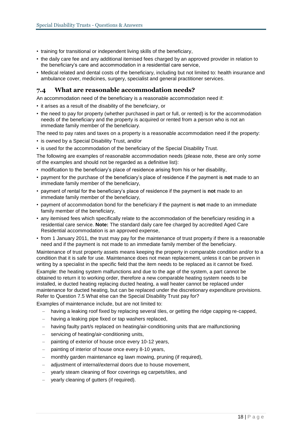- training for transitional or independent living skills of the beneficiary,
- the daily care fee and any additional itemised fees charged by an approved provider in relation to the beneficiary's care and accommodation in a residential care service,
- Medical related and dental costs of the beneficiary, including but not limited to: health insurance and ambulance cover, medicines, surgery, specialist and general practitioner services.

#### **7.4 What are reasonable accommodation needs?**

An accommodation need of the beneficiary is a reasonable accommodation need if:

- it arises as a result of the disability of the beneficiary, or
- the need to pay for property (whether purchased in part or full, or rented) is for the accommodation needs of the beneficiary and the property is acquired or rented from a person who is not an immediate family member of the beneficiary.

The need to pay rates and taxes on a property is a reasonable accommodation need if the property:

- is owned by a Special Disability Trust, and/or
- is used for the accommodation of the beneficiary of the Special Disability Trust.

The following are examples of reasonable accommodation needs (please note, these are only *some* of the examples and should not be regarded as a definitive list):

- modification to the beneficiary's place of residence arising from his or her disability,
- payment for the purchase of the beneficiary's place of residence if the payment is **not** made to an immediate family member of the beneficiary,
- payment of rental for the beneficiary's place of residence if the payment is **not** made to an immediate family member of the beneficiary,
- payment of accommodation bond for the beneficiary if the payment is **not** made to an immediate family member of the beneficiary,
- any itemised fees which specifically relate to the accommodation of the beneficiary residing in a residential care service. **Note:** The standard daily care fee charged by accredited Aged Care Residential accommodation is an approved expense,
- from 1 January 2011, the trust may pay for the maintenance of trust property if there is a reasonable need and if the payment is not made to an immediate family member of the beneficiary.

Maintenance of trust property assets means keeping the property in comparable condition and/or to a condition that it is safe for use. Maintenance does not mean replacement, unless it can be proven in writing by a specialist in the specific field that the item needs to be replaced as it cannot be fixed.

Example: the heating system malfunctions and due to the age of the system, a part cannot be obtained to return it to working order, therefore a new comparable heating system needs to be installed, ie ducted heating replacing ducted heating, a wall heater cannot be replaced under maintenance for ducted heating, but can be replaced under the discretionary expenditure provisions. Refer to Question 7.5 What else can the Special Disability Trust pay for?

Examples of maintenance include, but are not limited to:

- having a leaking roof fixed by replacing several tiles, or getting the ridge capping re-capped,
- having a leaking pipe fixed or tap washers replaced,
- having faulty part/s replaced on heating/air-conditioning units that are malfunctioning
- servicing of heating/air-conditioning units,
- painting of exterior of house once every 10-12 years,
- painting of interior of house once every 8-10 years,
- monthly garden maintenance eg lawn mowing, pruning (if required),
- adjustment of internal/external doors due to house movement,
- yearly steam cleaning of floor coverings eg carpets/tiles, and
- yearly cleaning of gutters (if required).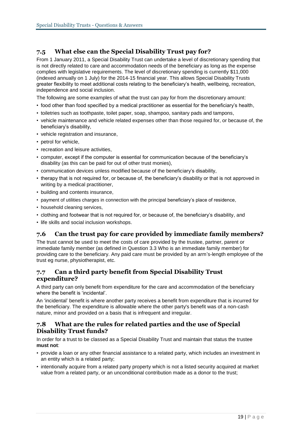#### **7.5 What else can the Special Disability Trust pay for?**

From 1 January 2011, a Special Disability Trust can undertake a level of discretionary spending that is not directly related to care and accommodation needs of the beneficiary as long as the expense complies with legislative requirements. The level of discretionary spending is currently \$11,000 (indexed annually on 1 July) for the 2014-15 financial year. This allows Special Disability Trusts greater flexibility to meet additional costs relating to the beneficiary's health, wellbeing, recreation, independence and social inclusion.

The following are some examples of what the trust can pay for from the discretionary amount:

- food other than food specified by a medical practitioner as essential for the beneficiary's health,
- toiletries such as toothpaste, toilet paper, soap, shampoo, sanitary pads and tampons,
- vehicle maintenance and vehicle related expenses other than those required for, or because of, the beneficiary's disability,
- vehicle registration and insurance,
- petrol for vehicle,
- recreation and leisure activities.
- computer, except if the computer is essential for communication because of the beneficiary's disability (as this can be paid for out of other trust monies),
- communication devices unless modified because of the beneficiary's disability,
- therapy that is not required for, or because of, the beneficiary's disability or that is not approved in writing by a medical practitioner,
- building and contents insurance,
- payment of utilities charges in connection with the principal beneficiary's place of residence,
- household cleaning services,
- clothing and footwear that is not required for, or because of, the beneficiary's disability, and
- life skills and social inclusion workshops.

#### **7.6 Can the trust pay for care provided by immediate family members?**

The trust cannot be used to meet the costs of care provided by the trustee, partner, parent or immediate family member (as defined in Question 3.3 Who is an immediate family member) for providing care to the beneficiary. Any paid care must be provided by an arm's-length employee of the trust eg nurse, physiotherapist, etc.

#### **7.7 Can a third party benefit from Special Disability Trust expenditure?**

A third party can only benefit from expenditure for the care and accommodation of the beneficiary where the benefit is 'incidental'.

An 'incidental' benefit is where another party receives a benefit from expenditure that is incurred for the beneficiary. The expenditure is allowable where the other party's benefit was of a non-cash nature, minor and provided on a basis that is infrequent and irregular.

#### **7.8 What are the rules for related parties and the use of Special Disability Trust funds?**

In order for a trust to be classed as a Special Disability Trust and maintain that status the trustee **must not**:

- provide a loan or any other financial assistance to a related party, which includes an investment in an entity which is a related party;
- intentionally acquire from a related party property which is not a listed security acquired at market value from a related party, or an unconditional contribution made as a donor to the trust;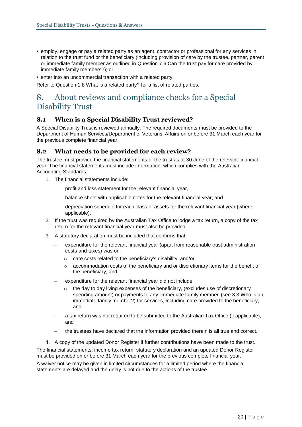- employ, engage or pay a related party as an agent, contractor or professional for any services in relation to the trust fund or the beneficiary (including provision of care by the trustee, partner, parent or immediate family member as outlined in Question 7.6 Can the trust pay for care provided by immediate family members?); or
- enter into an uncommercial transaction with a related party.

Refer to Question 1.8 What is a related party? for a list of related parties.

## 8. About reviews and compliance checks for a Special Disability Trust

#### **8.1 When is a Special Disability Trust reviewed?**

A Special Disability Trust is reviewed annually. The required documents must be provided to the Department of Human Services/Department of Veterans' Affairs on or before 31 March each year for the previous complete financial year.

#### **8.2 What needs to be provided for each review?**

The trustee must provide the financial statements of the trust as at 30 June of the relevant financial year. The financial statements must include information, which complies with the Australian Accounting Standards.

- 1. The financial statements include:
	- profit and loss statement for the relevant financial year,
	- balance sheet with applicable notes for the relevant financial year, and
	- depreciation schedule for each class of assets for the relevant financial year (where applicable).
- 2. If the trust was required by the Australian Tax Office to lodge a tax return, a copy of the tax return for the relevant financial year must also be provided.
- 3. A statutory declaration must be included that confirms that:
	- expenditure for the relevant financial year (apart from reasonable trust administration costs and taxes) was on:
		- o care costs related to the beneficiary's disability, and/or
		- $\circ$  accommodation costs of the beneficiary and or discretionary items for the benefit of the beneficiary, and
	- expenditure for the relevant financial year did not include:
		- the day to day living expenses of the beneficiary, (excludes use of discretionary spending amount) or payments to any 'immediate family member' (see 3.3 Who is an immediate family member?) for services, including care provided to the beneficiary, and
	- a tax return was not required to be submitted to the Australian Tax Office (if applicable), and
	- the trustees have declared that the information provided therein is all true and correct.
- 4. A copy of the updated Donor Register if further contributions have been made to the trust.

The financial statements, income tax return, statutory declaration and an updated Donor Register must be provided on or before 31 March each year for the previous complete financial year.

A waiver notice may be given in limited circumstances for a limited period where the financial statements are delayed and the delay is not due to the actions of the trustee.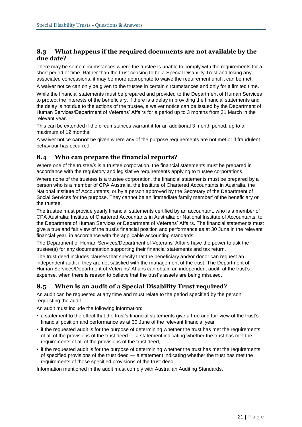#### **8.3 What happens if the required documents are not available by the due date?**

There may be some circumstances where the trustee is unable to comply with the requirements for a short period of time. Rather than the trust ceasing to be a Special Disability Trust and losing any associated concessions, it may be more appropriate to waive the requirement until it can be met.

A waiver notice can only be given to the trustee in certain circumstances and only for a limited time.

While the financial statements must be prepared and provided to the Department of Human Services to protect the interests of the beneficiary, if there is a delay in providing the financial statements and the delay is not due to the actions of the trustee, a waiver notice can be issued by the Department of Human Services/Department of Veterans' Affairs for a period up to 3 months from 31 March in the relevant year.

This can be extended if the circumstances warrant it for an additional 3 month period, up to a maximum of 12 months.

A waiver notice **cannot** be given where any of the purpose requirements are not met or if fraudulent behaviour has occurred.

#### **8.4 Who can prepare the financial reports?**

Where one of the trustee/s is a trustee corporation, the financial statements must be prepared in accordance with the regulatory and legislative requirements applying to trustee corporations.

Where none of the trustees is a trustee corporation, the financial statements must be prepared by a person who is a member of CPA Australia, the Institute of Chartered Accountants in Australia, the National Institute of Accountants, or by a person approved by the Secretary of the Department of Social Services for the purpose. They cannot be an 'immediate family member' of the beneficiary or the trustee.

The trustee must provide yearly financial statements certified by an accountant, who is a member of CPA Australia; Institute of Chartered Accountants in Australia; or National Institute of Accountants, to the Department of Human Services or Department of Veterans' Affairs. The financial statements must give a true and fair view of the trust's financial position and performance as at 30 June in the relevant financial year, in accordance with the applicable accounting standards.

The Department of Human Services/Department of Veterans' Affairs have the power to ask the trustee(s) for any documentation supporting their financial statements and tax return.

The trust deed includes clauses that specify that the beneficiary and/or donor can request an independent audit if they are not satisfied with the management of the trust. The Department of Human Services/Department of Veterans' Affairs can obtain an independent audit, at the trust's expense, when there is reason to believe that the trust's assets are being misused.

#### **8.5 When is an audit of a Special Disability Trust required?**

An audit can be requested at any time and must relate to the period specified by the person requesting the audit.

An audit must include the following information:

- a statement to the effect that the trust's financial statements give a true and fair view of the trust's financial position and performance as at 30 June of the relevant financial year
- if the requested audit is for the purpose of determining whether the trust has met the requirements of all of the provisions of the trust deed — a statement indicating whether the trust has met the requirements of all of the provisions of the trust deed,
- if the requested audit is for the purpose of determining whether the trust has met the requirements of specified provisions of the trust deed  $-$  a statement indicating whether the trust has met the requirements of those specified provisions of the trust deed.

Information mentioned in the audit must comply with Australian Auditing Standards.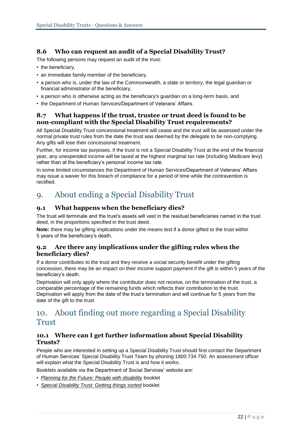#### **8.6 Who can request an audit of a Special Disability Trust?**

The following persons may request an audit of the trust:

- the beneficiary,
- an immediate family member of the beneficiary,
- a person who is, under the law of the Commonwealth, a state or territory, the legal guardian or financial administrator of the beneficiary,
- a person who is otherwise acting as the beneficiary's guardian on a long-term basis, and
- the Department of Human Services/Department of Veterans' Affairs.

#### **8.7 What happens if the trust, trustee or trust deed is found to be non-compliant with the Special Disability Trust requirements?**

All Special Disability Trust concessional treatment will cease and the trust will be assessed under the normal private trust rules from the date the trust was deemed by the delegate to be non-complying. Any gifts will lose their concessional treatment.

Further, for income tax purposes, if the trust is not a Special Disability Trust at the end of the financial year, any unexpended income will be taxed at the highest marginal tax rate (including Medicare levy) rather than at the beneficiary's personal income tax rate.

In some limited circumstances the Department of Human Services/Department of Veterans' Affairs may issue a waiver for this breach of compliance for a period of time while the contravention is rectified.

## 9. About ending a Special Disability Trust

#### **9.1 What happens when the beneficiary dies?**

The trust will terminate and the trust's assets will vest in the residual beneficiaries named in the trust deed, in the proportions specified in the trust deed.

**Note:** there may be gifting implications under the means test if a donor gifted to the trust within 5 years of the beneficiary's death.

#### **9.2 Are there any implications under the gifting rules when the beneficiary dies?**

If a donor contributes to the trust and they receive a social security benefit under the gifting concession, there may be an impact on their income support payment if the gift is within 5 years of the beneficiary's death.

Deprivation will only apply where the contributor does not receive, on the termination of the trust, a comparable percentage of the remaining funds which reflects their contribution to the trust. Deprivation will apply from the date of the trust's termination and will continue for 5 years from the date of the gift to the trust.

### 10. About finding out more regarding a Special Disability Trust

#### **10.1 Where can I get further information about Special Disability Trusts?**

People who are interested in setting up a Special Disability Trust should first contact the Department of Human Services' Special Disability Trust Team by phoning 1800 734 750. An assessment officer will explain what the Special Disability Trust is and how it works.

Booklets available via the Department of Social Services' website are:

- *[Planning for the Future: People with disability](http://www.dss.gov.au/our-responsibilities/disability-and-carers/publications-articles/general/planning-for-the-future-people-with-disability-booklet)* booklet
- *[Special Disability Trust: Getting things sorted](http://www.dss.gov.au/our-responsibilities/disability-and-carers/publications-articles/special-disability-trusts-getting-things-sorted)* booklet